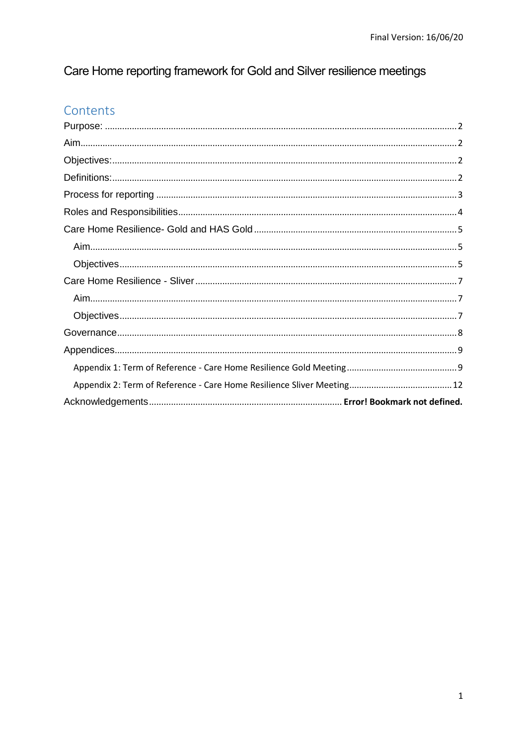# Care Home reporting framework for Gold and Silver resilience meetings

# Contents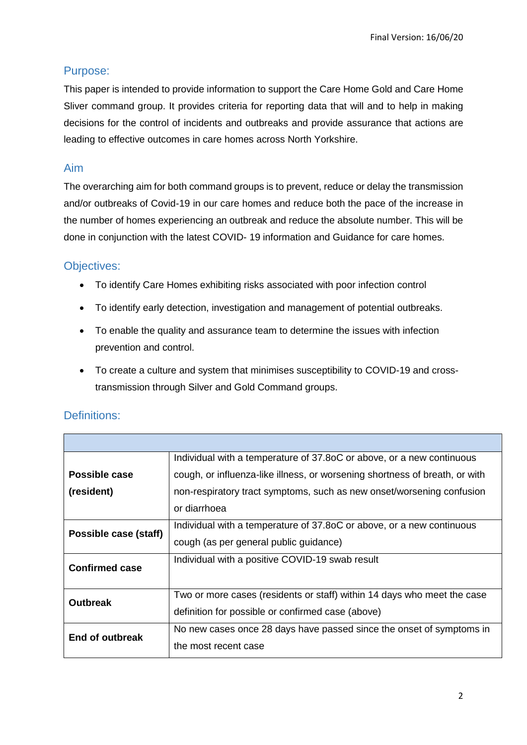# <span id="page-1-0"></span>Purpose:

This paper is intended to provide information to support the Care Home Gold and Care Home Sliver command group. It provides criteria for reporting data that will and to help in making decisions for the control of incidents and outbreaks and provide assurance that actions are leading to effective outcomes in care homes across North Yorkshire.

### <span id="page-1-1"></span>Aim

The overarching aim for both command groups is to prevent, reduce or delay the transmission and/or outbreaks of Covid-19 in our care homes and reduce both the pace of the increase in the number of homes experiencing an outbreak and reduce the absolute number. This will be done in conjunction with the latest COVID- 19 information and Guidance for care homes.

# <span id="page-1-2"></span>Objectives:

- To identify Care Homes exhibiting risks associated with poor infection control
- To identify early detection, investigation and management of potential outbreaks.
- To enable the quality and assurance team to determine the issues with infection prevention and control.
- To create a culture and system that minimises susceptibility to COVID-19 and crosstransmission through Silver and Gold Command groups.

|                       | Individual with a temperature of 37.80C or above, or a new continuous       |
|-----------------------|-----------------------------------------------------------------------------|
| Possible case         | cough, or influenza-like illness, or worsening shortness of breath, or with |
| (resident)            | non-respiratory tract symptoms, such as new onset/worsening confusion       |
|                       | or diarrhoea                                                                |
| Possible case (staff) | Individual with a temperature of 37.80C or above, or a new continuous       |
|                       | cough (as per general public guidance)                                      |
| <b>Confirmed case</b> | Individual with a positive COVID-19 swab result                             |
|                       |                                                                             |
| <b>Outbreak</b>       | Two or more cases (residents or staff) within 14 days who meet the case     |
|                       | definition for possible or confirmed case (above)                           |
| End of outbreak       | No new cases once 28 days have passed since the onset of symptoms in        |
|                       | the most recent case                                                        |
|                       |                                                                             |

# <span id="page-1-3"></span>Definitions: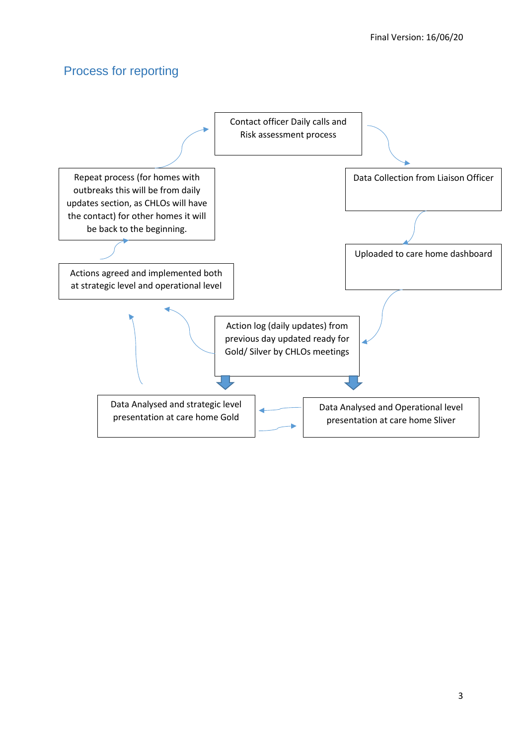# <span id="page-2-0"></span>Process for reporting

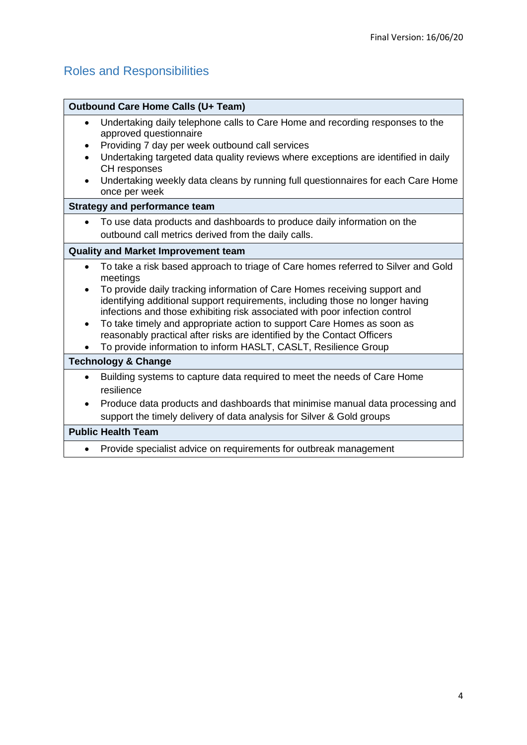# <span id="page-3-0"></span>Roles and Responsibilities

| <b>Outbound Care Home Calls (U+ Team)</b>                                                                                                                                                                                                                                                                                                                                                                                                                                                                                                                                                    |  |
|----------------------------------------------------------------------------------------------------------------------------------------------------------------------------------------------------------------------------------------------------------------------------------------------------------------------------------------------------------------------------------------------------------------------------------------------------------------------------------------------------------------------------------------------------------------------------------------------|--|
| Undertaking daily telephone calls to Care Home and recording responses to the<br>approved questionnaire<br>Providing 7 day per week outbound call services<br>Undertaking targeted data quality reviews where exceptions are identified in daily<br>CH responses<br>Undertaking weekly data cleans by running full questionnaires for each Care Home<br>once per week                                                                                                                                                                                                                        |  |
| <b>Strategy and performance team</b>                                                                                                                                                                                                                                                                                                                                                                                                                                                                                                                                                         |  |
| To use data products and dashboards to produce daily information on the<br>$\bullet$<br>outbound call metrics derived from the daily calls.                                                                                                                                                                                                                                                                                                                                                                                                                                                  |  |
| <b>Quality and Market Improvement team</b>                                                                                                                                                                                                                                                                                                                                                                                                                                                                                                                                                   |  |
| To take a risk based approach to triage of Care homes referred to Silver and Gold<br>$\bullet$<br>meetings<br>To provide daily tracking information of Care Homes receiving support and<br>identifying additional support requirements, including those no longer having<br>infections and those exhibiting risk associated with poor infection control<br>To take timely and appropriate action to support Care Homes as soon as<br>$\bullet$<br>reasonably practical after risks are identified by the Contact Officers<br>To provide information to inform HASLT, CASLT, Resilience Group |  |
| <b>Technology &amp; Change</b>                                                                                                                                                                                                                                                                                                                                                                                                                                                                                                                                                               |  |
| Building systems to capture data required to meet the needs of Care Home<br>$\bullet$<br>resilience<br>Produce data products and dashboards that minimise manual data processing and<br>$\bullet$<br>support the timely delivery of data analysis for Silver & Gold groups                                                                                                                                                                                                                                                                                                                   |  |
| <b>Public Health Team</b>                                                                                                                                                                                                                                                                                                                                                                                                                                                                                                                                                                    |  |
| Provide specialist advice on requirements for outbreak management                                                                                                                                                                                                                                                                                                                                                                                                                                                                                                                            |  |
|                                                                                                                                                                                                                                                                                                                                                                                                                                                                                                                                                                                              |  |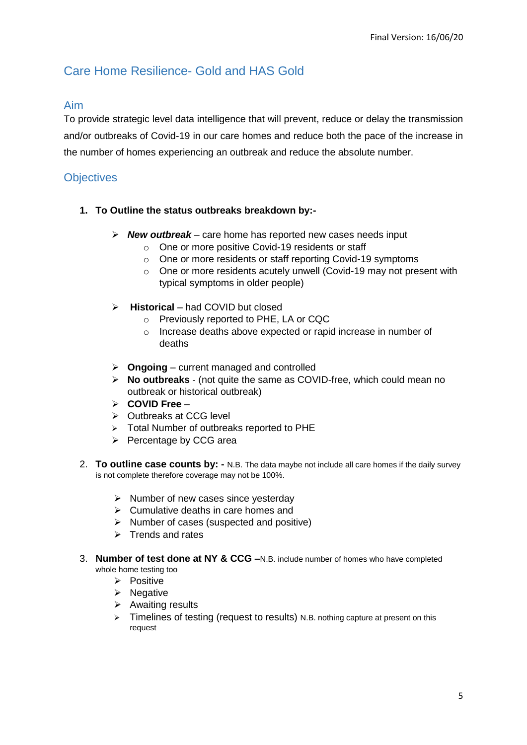# <span id="page-4-0"></span>Care Home Resilience- Gold and HAS Gold

### <span id="page-4-1"></span>Aim

To provide strategic level data intelligence that will prevent, reduce or delay the transmission and/or outbreaks of Covid-19 in our care homes and reduce both the pace of the increase in the number of homes experiencing an outbreak and reduce the absolute number.

## <span id="page-4-2"></span>**Objectives**

- **1. To Outline the status outbreaks breakdown by:-**
	- *New outbreak* care home has reported new cases needs input
		- o One or more positive Covid-19 residents or staff
		- o One or more residents or staff reporting Covid-19 symptoms
		- o One or more residents acutely unwell (Covid-19 may not present with typical symptoms in older people)
	- **Historical** had COVID but closed
		- o Previously reported to PHE, LA or CQC
		- o Increase deaths above expected or rapid increase in number of deaths
	- **Ongoing** current managed and controlled
	- **No outbreaks**  (not quite the same as COVID-free, which could mean no outbreak or historical outbreak)
	- **COVID Free** –
	- Outbreaks at CCG level
	- > Total Number of outbreaks reported to PHE
	- $\triangleright$  Percentage by CCG area
- 2. **To outline case counts by: -** N.B. The data maybe not include all care homes if the daily survey is not complete therefore coverage may not be 100%.
	- $\triangleright$  Number of new cases since yesterday
	- $\triangleright$  Cumulative deaths in care homes and
	- $\triangleright$  Number of cases (suspected and positive)
	- $\triangleright$  Trends and rates
- 3. **Number of test done at NY & CCG –**N.B. include number of homes who have completed whole home testing too
	- $\triangleright$  Positive
	- $\triangleright$  Negative
	- $\triangleright$  Awaiting results
	- $\triangleright$  Timelines of testing (request to results) N.B. nothing capture at present on this request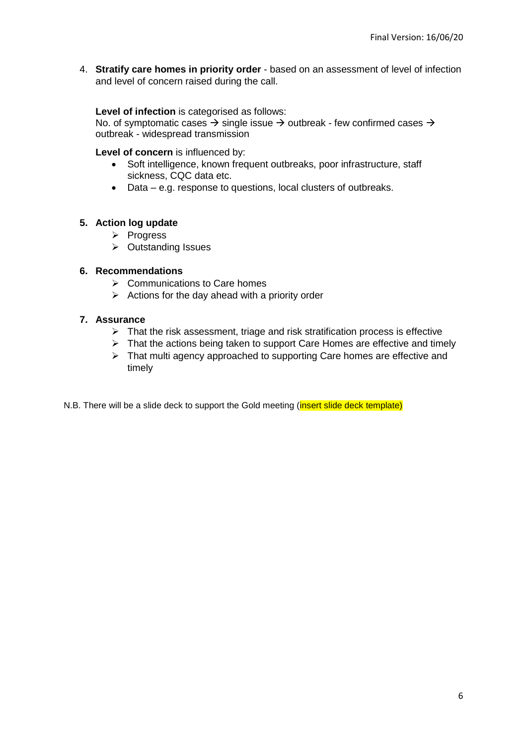4. **Stratify care homes in priority order** - based on an assessment of level of infection and level of concern raised during the call.

#### **Level of infection** is categorised as follows:

No. of symptomatic cases  $\rightarrow$  single issue  $\rightarrow$  outbreak - few confirmed cases  $\rightarrow$ outbreak - widespread transmission

#### **Level of concern** is influenced by:

- Soft intelligence, known frequent outbreaks, poor infrastructure, staff sickness, CQC data etc.
- Data e.g. response to questions, local clusters of outbreaks.

### **5. Action log update**

- $\triangleright$  Progress
- **▶ Outstanding Issues**

### **6. Recommendations**

- $\triangleright$  Communications to Care homes
- $\triangleright$  Actions for the day ahead with a priority order

### **7. Assurance**

- $\triangleright$  That the risk assessment, triage and risk stratification process is effective
- $\triangleright$  That the actions being taken to support Care Homes are effective and timely
- $\triangleright$  That multi agency approached to supporting Care homes are effective and timely

N.B. There will be a slide deck to support the Gold meeting (insert slide deck template)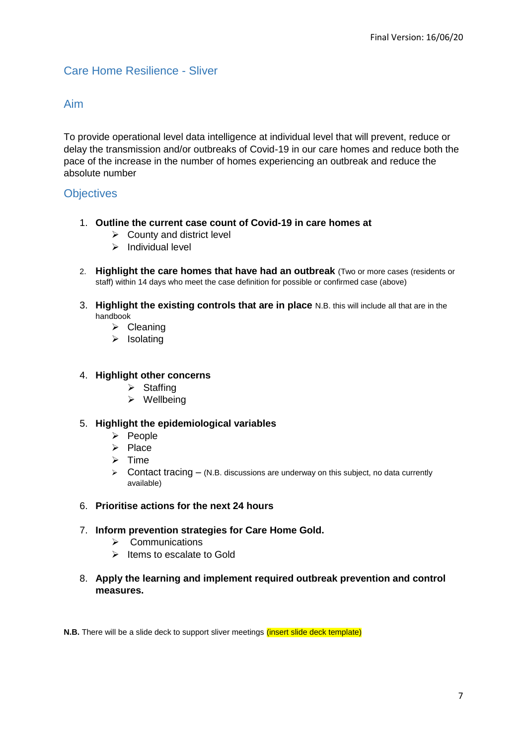# <span id="page-6-0"></span>Care Home Resilience - Sliver

### <span id="page-6-1"></span>Aim

To provide operational level data intelligence at individual level that will prevent, reduce or delay the transmission and/or outbreaks of Covid-19 in our care homes and reduce both the pace of the increase in the number of homes experiencing an outbreak and reduce the absolute number

### <span id="page-6-2"></span>**Objectives**

- 1. **Outline the current case count of Covid-19 in care homes at** 
	- $\triangleright$  County and district level
	- $\triangleright$  Individual level
- 2. **Highlight the care homes that have had an outbreak** (Two or more cases (residents or staff) within 14 days who meet the case definition for possible or confirmed case (above)
- 3. **Highlight the existing controls that are in place** N.B. this will include all that are in the handbook
	- $\triangleright$  Cleaning
	- $\triangleright$  Isolating

#### 4. **Highlight other concerns**

- $\triangleright$  Staffing
- $\triangleright$  Wellbeing

#### 5. **Highlight the epidemiological variables**

- $\triangleright$  People
- $\triangleright$  Place
- $\triangleright$  Time
- $\triangleright$  Contact tracing (N.B. discussions are underway on this subject, no data currently available)
- 6. **Prioritise actions for the next 24 hours**
- 7. **Inform prevention strategies for Care Home Gold.**
	- $\triangleright$  Communications
	- $\triangleright$  Items to escalate to Gold
- 8. **Apply the learning and implement required outbreak prevention and control measures.**

**N.B.** There will be a slide deck to support sliver meetings *(insert slide deck template)*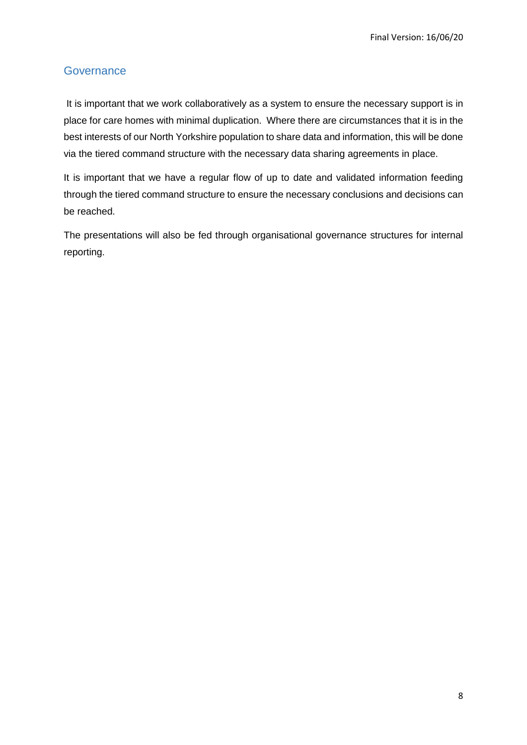# <span id="page-7-0"></span>**Governance**

It is important that we work collaboratively as a system to ensure the necessary support is in place for care homes with minimal duplication. Where there are circumstances that it is in the best interests of our North Yorkshire population to share data and information, this will be done via the tiered command structure with the necessary data sharing agreements in place.

It is important that we have a regular flow of up to date and validated information feeding through the tiered command structure to ensure the necessary conclusions and decisions can be reached.

The presentations will also be fed through organisational governance structures for internal reporting.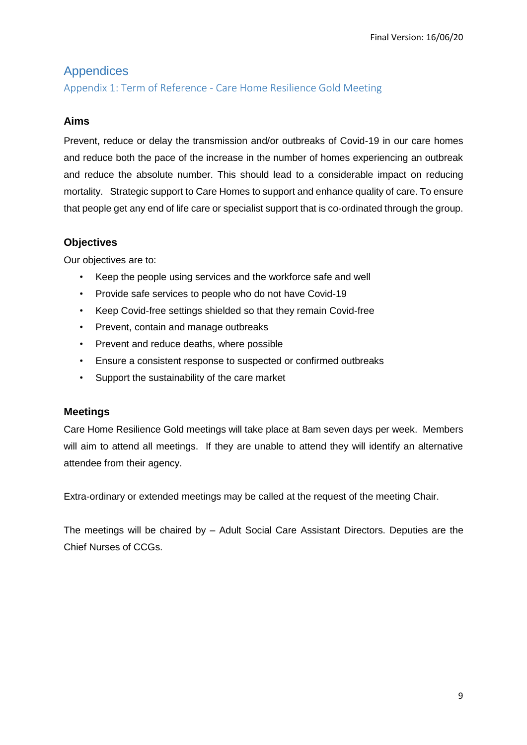# <span id="page-8-0"></span>Appendices

<span id="page-8-1"></span>Appendix 1: Term of Reference - Care Home Resilience Gold Meeting

### **Aims**

Prevent, reduce or delay the transmission and/or outbreaks of Covid-19 in our care homes and reduce both the pace of the increase in the number of homes experiencing an outbreak and reduce the absolute number. This should lead to a considerable impact on reducing mortality. Strategic support to Care Homes to support and enhance quality of care. To ensure that people get any end of life care or specialist support that is co-ordinated through the group.

## **Objectives**

Our objectives are to:

- Keep the people using services and the workforce safe and well
- Provide safe services to people who do not have Covid-19
- Keep Covid-free settings shielded so that they remain Covid-free
- Prevent, contain and manage outbreaks
- Prevent and reduce deaths, where possible
- Ensure a consistent response to suspected or confirmed outbreaks
- Support the sustainability of the care market

### **Meetings**

Care Home Resilience Gold meetings will take place at 8am seven days per week. Members will aim to attend all meetings. If they are unable to attend they will identify an alternative attendee from their agency.

Extra-ordinary or extended meetings may be called at the request of the meeting Chair.

The meetings will be chaired by – Adult Social Care Assistant Directors. Deputies are the Chief Nurses of CCGs.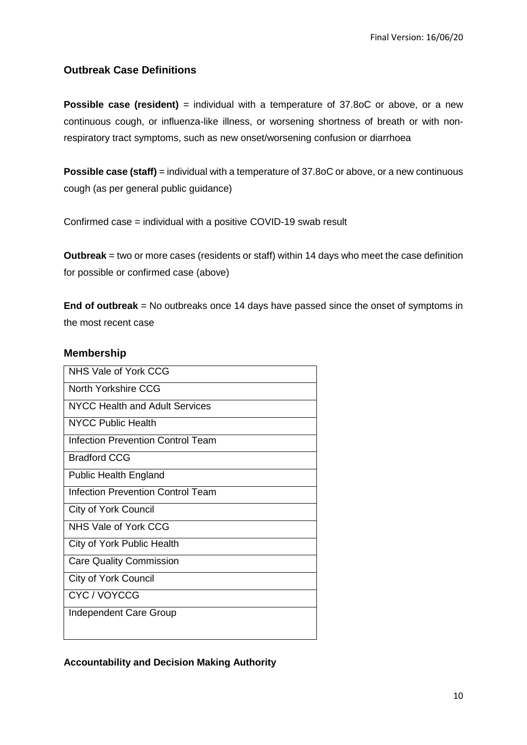## **Outbreak Case Definitions**

**Possible case (resident)** = individual with a temperature of 37.8oC or above, or a new continuous cough, or influenza-like illness, or worsening shortness of breath or with nonrespiratory tract symptoms, such as new onset/worsening confusion or diarrhoea

**Possible case (staff)** = individual with a temperature of 37.8oC or above, or a new continuous cough (as per general public guidance)

Confirmed case = individual with a positive COVID-19 swab result

**Outbreak** = two or more cases (residents or staff) within 14 days who meet the case definition for possible or confirmed case (above)

**End of outbreak** = No outbreaks once 14 days have passed since the onset of symptoms in the most recent case

### **Membership**

| NHS Vale of York CCG                     |  |
|------------------------------------------|--|
| North Yorkshire CCG                      |  |
| NYCC Health and Adult Services           |  |
| <b>NYCC Public Health</b>                |  |
| <b>Infection Prevention Control Team</b> |  |
| <b>Bradford CCG</b>                      |  |
| <b>Public Health England</b>             |  |
| <b>Infection Prevention Control Team</b> |  |
| <b>City of York Council</b>              |  |
| NHS Vale of York CCG                     |  |
| City of York Public Health               |  |
| <b>Care Quality Commission</b>           |  |
| <b>City of York Council</b>              |  |
| CYC/VOYCCG                               |  |
| <b>Independent Care Group</b>            |  |
|                                          |  |

### **Accountability and Decision Making Authority**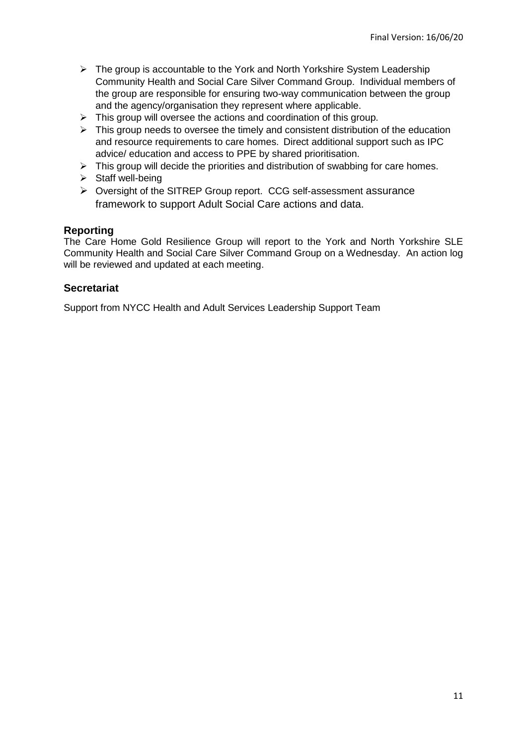- $\triangleright$  The group is accountable to the York and North Yorkshire System Leadership Community Health and Social Care Silver Command Group. Individual members of the group are responsible for ensuring two-way communication between the group and the agency/organisation they represent where applicable.
- $\triangleright$  This group will oversee the actions and coordination of this group.
- $\triangleright$  This group needs to oversee the timely and consistent distribution of the education and resource requirements to care homes. Direct additional support such as IPC advice/ education and access to PPE by shared prioritisation.
- $\triangleright$  This group will decide the priorities and distribution of swabbing for care homes.
- $\triangleright$  Staff well-being
- Oversight of the SITREP Group report. CCG self-assessment assurance framework to support Adult Social Care actions and data.

### **Reporting**

The Care Home Gold Resilience Group will report to the York and North Yorkshire SLE Community Health and Social Care Silver Command Group on a Wednesday. An action log will be reviewed and updated at each meeting.

### **Secretariat**

Support from NYCC Health and Adult Services Leadership Support Team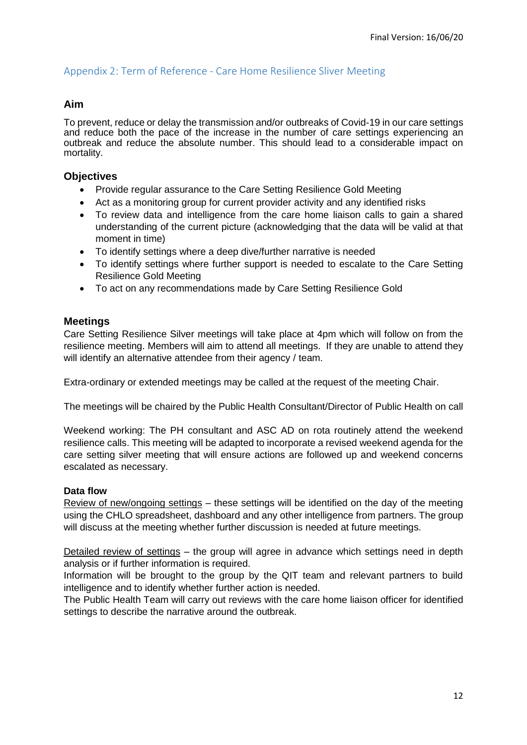### <span id="page-11-0"></span>Appendix 2: Term of Reference - Care Home Resilience Sliver Meeting

### **Aim**

To prevent, reduce or delay the transmission and/or outbreaks of Covid-19 in our care settings and reduce both the pace of the increase in the number of care settings experiencing an outbreak and reduce the absolute number. This should lead to a considerable impact on mortality.

### **Objectives**

- Provide regular assurance to the Care Setting Resilience Gold Meeting
- Act as a monitoring group for current provider activity and any identified risks
- To review data and intelligence from the care home liaison calls to gain a shared understanding of the current picture (acknowledging that the data will be valid at that moment in time)
- To identify settings where a deep dive/further narrative is needed
- To identify settings where further support is needed to escalate to the Care Setting Resilience Gold Meeting
- To act on any recommendations made by Care Setting Resilience Gold

### **Meetings**

Care Setting Resilience Silver meetings will take place at 4pm which will follow on from the resilience meeting. Members will aim to attend all meetings. If they are unable to attend they will identify an alternative attendee from their agency / team.

Extra-ordinary or extended meetings may be called at the request of the meeting Chair.

The meetings will be chaired by the Public Health Consultant/Director of Public Health on call

Weekend working: The PH consultant and ASC AD on rota routinely attend the weekend resilience calls. This meeting will be adapted to incorporate a revised weekend agenda for the care setting silver meeting that will ensure actions are followed up and weekend concerns escalated as necessary.

### **Data flow**

Review of new/ongoing settings – these settings will be identified on the day of the meeting using the CHLO spreadsheet, dashboard and any other intelligence from partners. The group will discuss at the meeting whether further discussion is needed at future meetings.

Detailed review of settings – the group will agree in advance which settings need in depth analysis or if further information is required.

Information will be brought to the group by the QIT team and relevant partners to build intelligence and to identify whether further action is needed.

The Public Health Team will carry out reviews with the care home liaison officer for identified settings to describe the narrative around the outbreak.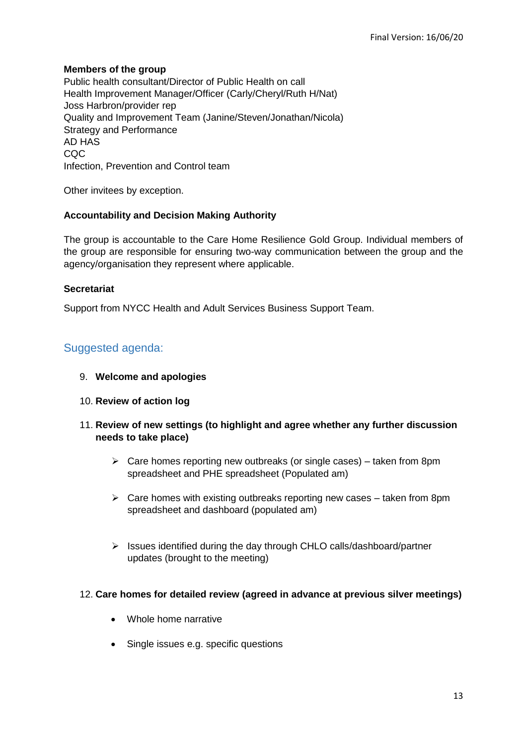### **Members of the group**

Public health consultant/Director of Public Health on call Health Improvement Manager/Officer (Carly/Cheryl/Ruth H/Nat) Joss Harbron/provider rep Quality and Improvement Team (Janine/Steven/Jonathan/Nicola) Strategy and Performance AD HAS CQC Infection, Prevention and Control team

Other invitees by exception.

### **Accountability and Decision Making Authority**

The group is accountable to the Care Home Resilience Gold Group. Individual members of the group are responsible for ensuring two-way communication between the group and the agency/organisation they represent where applicable.

### **Secretariat**

Support from NYCC Health and Adult Services Business Support Team.

# Suggested agenda:

- 9. **Welcome and apologies**
- 10. **Review of action log**
- 11. **Review of new settings (to highlight and agree whether any further discussion needs to take place)**
	- $\triangleright$  Care homes reporting new outbreaks (or single cases) taken from 8pm spreadsheet and PHE spreadsheet (Populated am)
	- $\triangleright$  Care homes with existing outbreaks reporting new cases taken from 8pm spreadsheet and dashboard (populated am)
	- $\triangleright$  Issues identified during the day through CHLO calls/dashboard/partner updates (brought to the meeting)

### 12. **Care homes for detailed review (agreed in advance at previous silver meetings)**

- Whole home narrative
- Single issues e.g. specific questions